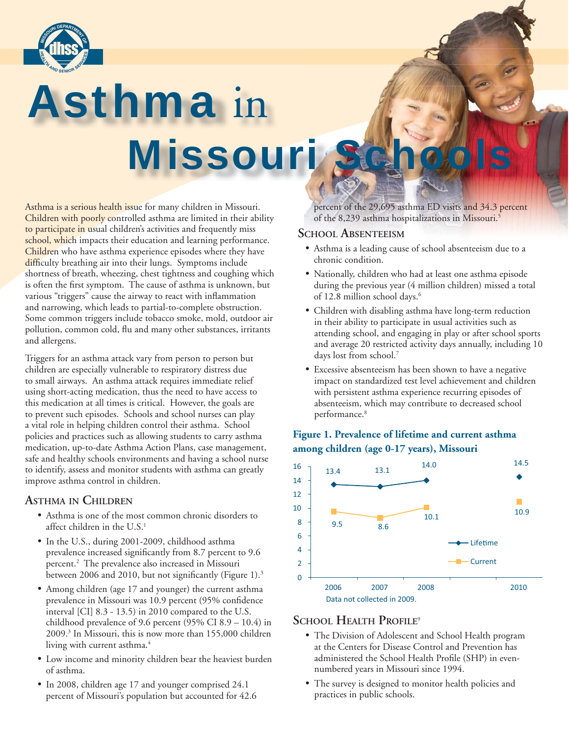

# Asthma in Missouri Sc

Asthma is a serious health issue for many children in Missouri. Children with poorly controlled asthma are limited in their ability to participate in usual children's activities and frequently miss school, which impacts their education and learning performance. Children who have asthma experience episodes where they have difficulty breathing air into their lungs. Symptoms include shortness of breath, wheezing, chest tightness and coughing which is often the first symptom. The cause of asthma is unknown, but various "triggers" cause the airway to react with inflammation and narrowing, which leads to partial-to-complete obstruction. Some common triggers include tobacco smoke, mold, outdoor air pollution, common cold, flu and many other substances, irritants and allergens.

Triggers for an asthma attack vary from person to person but children are especially vulnerable to respiratory distress due to small airways. An asthma attack requires immediate relief using short-acting medication, thus the need to have access to this medication at all times is critical. However, the goals are to prevent such episodes. Schools and school nurses can play a vital role in helping children control their asthma. School policies and practices such as allowing students to carry asthma medication, up-to-date Asthma Action Plans, case management, safe and healthy schools environments and having a school nurse to identify, assess and monitor students with asthma can greatly improve asthma control in children.

# **ASTHMA IN CHILDREN**

- Asthma is one of the most common chronic disorders to affect children in the U.S.<sup>1</sup>
- In the U.S., during 2001-2009, childhood asthma prevalence increased significantly from 8.7 percent to 9.6 percent.2 The prevalence also increased in Missouri between 2006 and 2010, but not significantly (Figure 1). $3$
- Among children (age 17 and younger) the current asthma prevalence in Missouri was 10.9 percent (95% confidence interval [CI] 8.3 - 13.5) in 2010 compared to the U.S. childhood prevalence of 9.6 percent (95% CI 8.9 – 10.4) in 2009.3 In Missouri, this is now more than 155,000 children living with current asthma.<sup>4</sup>
	- Low income and minority children bear the heaviest burden of asthma.
	- In 2008, children age 17 and younger comprised 24.1 percent of Missouri's population but accounted for 42.6

 percent of the 29,695 asthma ED visits and 34.3 percent of the 8,239 asthma hospitalizations in Missouri.5

## **SCHOOL ABSENTEEISM**

- Asthma is a leading cause of school absenteeism due to a chronic condition.
- Nationally, children who had at least one asthma episode during the previous year (4 million children) missed a total of 12.8 million school days.<sup>6</sup>
- Children with disabling asthma have long-term reduction in their ability to participate in usual activities such as attending school, and engaging in play or after school sports and average 20 restricted activity days annually, including 10 days lost from school.7
- Excessive absenteeism has been shown to have a negative impact on standardized test level achievement and children with persistent asthma experience recurring episodes of absenteeism, which may contribute to decreased school performance.<sup>8</sup>





# **SCHOOL HEALTH PROFILE**<sup>9</sup>

- The Division of Adolescent and School Health program at the Centers for Disease Control and Prevention has administered the School Health Profile (SHP) in evennumbered years in Missouri since 1994.
- The survey is designed to monitor health policies and practices in public schools.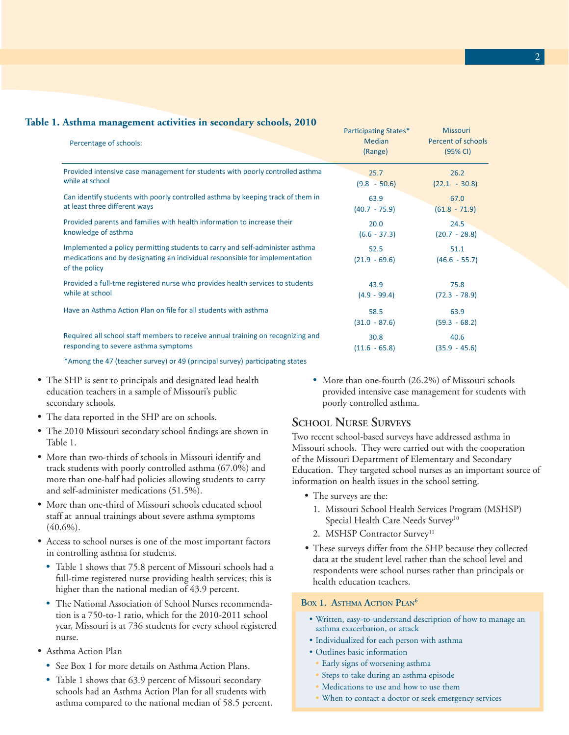| Table 1. Asthma management activities in secondary schools, 2010<br>Percentage of schools:                                                                                   | <b>Participating States*</b><br><b>Median</b><br>(Range) | <b>Missouri</b><br>Percent of schools<br>(95% CI) |
|------------------------------------------------------------------------------------------------------------------------------------------------------------------------------|----------------------------------------------------------|---------------------------------------------------|
| Provided intensive case management for students with poorly controlled asthma                                                                                                | 25.7                                                     | 26.2                                              |
| while at school                                                                                                                                                              | $(9.8 - 50.6)$                                           | $(22.1 - 30.8)$                                   |
| Can identify students with poorly controlled asthma by keeping track of them in                                                                                              | 63.9                                                     | 67.0                                              |
| at least three different ways                                                                                                                                                | $(40.7 - 75.9)$                                          | $(61.8 - 71.9)$                                   |
| Provided parents and families with health information to increase their                                                                                                      | 20.0                                                     | 24.5                                              |
| knowledge of asthma                                                                                                                                                          | $(6.6 - 37.3)$                                           | $(20.7 - 28.8)$                                   |
| Implemented a policy permitting students to carry and self-administer asthma<br>medications and by designating an individual responsible for implementation<br>of the policy | 52.5<br>$(21.9 - 69.6)$                                  | 51.1<br>$(46.6 - 55.7)$                           |
| Provided a full-tme registered nurse who provides health services to students                                                                                                | 43.9                                                     | 75.8                                              |
| while at school                                                                                                                                                              | $(4.9 - 99.4)$                                           | $(72.3 - 78.9)$                                   |
| Have an Asthma Action Plan on file for all students with asthma                                                                                                              | 58.5<br>$(31.0 - 87.6)$                                  | 63.9<br>$(59.3 - 68.2)$                           |
| Required all school staff members to receive annual training on recognizing and                                                                                              | 30.8                                                     | 40.6                                              |
| responding to severe asthma symptoms                                                                                                                                         | $(11.6 - 65.8)$                                          | $(35.9 - 45.6)$                                   |

\*Among the 47 (teacher survey) or 49 (principal survey) participating states

- The SHP is sent to principals and designated lead health education teachers in a sample of Missouri's public secondary schools.
- The data reported in the SHP are on schools.
- The 2010 Missouri secondary school findings are shown in Table 1.
- More than two-thirds of schools in Missouri identify and track students with poorly controlled asthma (67.0%) and more than one-half had policies allowing students to carry and self-administer medications (51.5%).
- More than one-third of Missouri schools educated school staff at annual trainings about severe asthma symptoms  $(40.6\%)$ .
- Access to school nurses is one of the most important factors in controlling asthma for students.
	- Table 1 shows that 75.8 percent of Missouri schools had a full-time registered nurse providing health services; this is higher than the national median of 43.9 percent.
	- The National Association of School Nurses recommendation is a 750-to-1 ratio, which for the 2010-2011 school year, Missouri is at 736 students for every school registered nurse.
- Asthma Action Plan
	- See Box 1 for more details on Asthma Action Plans.
	- Table 1 shows that 63.9 percent of Missouri secondary schools had an Asthma Action Plan for all students with asthma compared to the national median of 58.5 percent.

• More than one-fourth (26.2%) of Missouri schools provided intensive case management for students with poorly controlled asthma.

# **SCHOOL NURSE SURVEYS**

Two recent school-based surveys have addressed asthma in Missouri schools. They were carried out with the cooperation of the Missouri Department of Elementary and Secondary Education. They targeted school nurses as an important source of information on health issues in the school setting.

- The surveys are the:
	- 1. Missouri School Health Services Program (MSHSP) Special Health Care Needs Survey<sup>10</sup>
	- 2. MSHSP Contractor Survey<sup>11</sup>
- These surveys differ from the SHP because they collected data at the student level rather than the school level and respondents were school nurses rather than principals or health education teachers.

#### **BOX 1. ASTHMA ACTION PLAN<sup>6</sup>**

- Written, easy-to-understand description of how to manage an asthma exacerbation, or attack
- Individualized for each person with asthma
- Outlines basic information
	- Early signs of worsening asthma
- Steps to take during an asthma episode
- Medications to use and how to use them
- When to contact a doctor or seek emergency services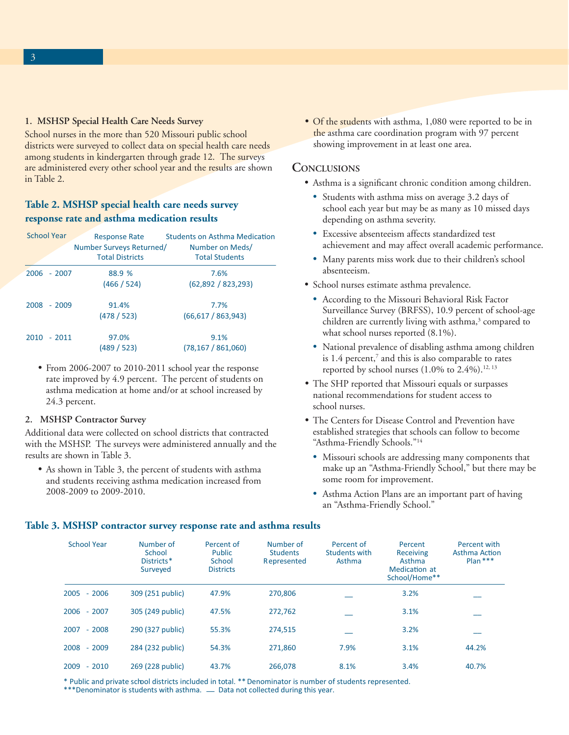#### **1. MSHSP Special Health Care Needs Survey**

School nurses in the more than 520 Missouri public school districts were surveyed to collect data on special health care needs among students in kindergarten through grade 12.The surveys are administered every other school year and the results are shown in Table 2.

## **Table 2. MSHSP special health care needs survey response rate and asthma medication results**

| <b>School Year</b> | <b>Response Rate</b><br>Number Surveys Returned/<br><b>Total Districts</b> | <b>Students on Asthma Medication</b><br>Number on Meds/<br><b>Total Students</b> |
|--------------------|----------------------------------------------------------------------------|----------------------------------------------------------------------------------|
| 2006 - 2007        | 88.9 %<br>(466 / 524)                                                      | 7.6%<br>(62,892 / 823,293)                                                       |
| $2008 - 2009$      | 91.4%<br>(478/523)                                                         | 7.7%<br>(66, 617 / 863, 943)                                                     |
| 2010<br>$-2011$    | 97.0%<br>(489 / 523)                                                       | 9.1%<br>(78, 167 / 861, 060)                                                     |

• From 2006-2007 to 2010-2011 school year the response rate improved by 4.9 percent. The percent of students on asthma medication at home and/or at school increased by 24.3 percent.

#### **2. MSHSP Contractor Survey**

Additional data were collected on school districts that contracted with the MSHSP. The surveys were administered annually and the results are shown in Table 3.

• As shown in Table 3, the percent of students with asthma and students receiving asthma medication increased from 2008-2009 to 2009-2010.

• Of the students with asthma, 1,080 were reported to be in the asthma care coordination program with 97 percent showing improvement in at least one area.

#### **CONCLUSIONS**

- Asthma is a significant chronic condition among children.
	- Students with asthma miss on average 3.2 days of school each year but may be as many as 10 missed days depending on asthma severity.
	- Excessive absenteeism affects standardized test achievement and may affect overall academic performance.
	- Many parents miss work due to their children's school absenteeism.
- School nurses estimate asthma prevalence.
- According to the Missouri Behavioral Risk Factor Surveillance Survey (BRFSS), 10.9 percent of school-age children are currently living with asthma,<sup>3</sup> compared to what school nurses reported (8.1%).
- National prevalence of disabling asthma among children is  $1.4$  percent,<sup>7</sup> and this is also comparable to rates reported by school nurses  $(1.0\%$  to  $2.4\%).$ <sup>12, 13</sup>
	- The SHP reported that Missouri equals or surpasses national recommendations for student access to school nurses.
	- The Centers for Disease Control and Prevention have established strategies that schools can follow to become "Asthma-Friendly Schools."14
		- Missouri schools are addressing many components that make up an "Asthma-Friendly School," but there may be some room for improvement.
		- Asthma Action Plans are an important part of having an "Asthma-Friendly School."

#### **Table 3. MSHSP contractor survey response rate and asthma results**

| <b>School Year</b> | Number of<br>School<br>Districts <sup>*</sup><br>Surveyed | Percent of<br><b>Public</b><br>School<br><b>Districts</b> | Number of<br><b>Students</b><br>Represented | Percent of<br>Students with<br>Asthma | Percent<br>Receiving<br>Asthma<br>Medication at<br>School/Home** | Percent with<br><b>Asthma Action</b><br>$Plan$ *** |
|--------------------|-----------------------------------------------------------|-----------------------------------------------------------|---------------------------------------------|---------------------------------------|------------------------------------------------------------------|----------------------------------------------------|
| $-2006$<br>2005    | 309 (251 public)                                          | 47.9%                                                     | 270.806                                     |                                       | 3.2%                                                             |                                                    |
| $2006 - 2007$      | 305 (249 public)                                          | 47.5%                                                     | 272,762                                     |                                       | 3.1%                                                             |                                                    |
| $-2008$<br>2007    | 290 (327 public)                                          | 55.3%                                                     | 274.515                                     |                                       | 3.2%                                                             |                                                    |
| $-2009$<br>2008    | 284 (232 public)                                          | 54.3%                                                     | 271.860                                     | 7.9%                                  | 3.1%                                                             | 44.2%                                              |
| $-2010$<br>2009    | 269 (228 public)                                          | 43.7%                                                     | 266.078                                     | 8.1%                                  | 3.4%                                                             | 40.7%                                              |

\* Public and private school districts included in total. \*\* Denominator is number of students represented.

\*\*\*Denominator is students with asthma.  $\_\_$  Data not collected during this year.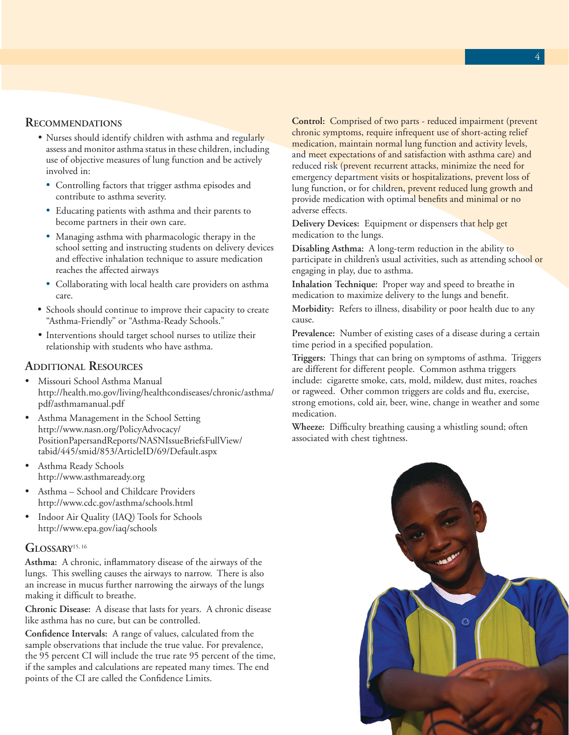#### **RECOMMENDATIONS**

- Nurses should identify children with asthma and regularly assess and monitor asthma status in these children, including use of objective measures of lung function and be actively involved in:
	- Controlling factors that trigger asthma episodes and contribute to asthma severity.
	- Educating patients with asthma and their parents to become partners in their own care.
	- Managing asthma with pharmacologic therapy in the school setting and instructing students on delivery devices and effective inhalation technique to assure medication reaches the affected airways
	- Collaborating with local health care providers on asthma care.
- Schools should continue to improve their capacity to create "Asthma-Friendly" or "Asthma-Ready Schools."
- Interventions should target school nurses to utilize their relationship with students who have asthma.

#### **ADDITIONAL RESOURCES**

- Missouri School Asthma Manual http://health.mo.gov/living/healthcondiseases/chronic/asthma/ pdf/asthmamanual.pdf
- Asthma Management in the School Setting http://www.nasn.org/PolicyAdvocacy/ PositionPapersandReports/NASNIssueBriefsFullView/ tabid/445/smid/853/ArticleID/69/Default.aspx
- Asthma Ready Schools http://www.asthmaready.org
- Asthma School and Childcare Providers http://www.cdc.gov/asthma/schools.html
- Indoor Air Quality (IAQ) Tools for Schools http://www.epa.gov/iaq/schools

#### **GLOSSARY**15, 16

Asthma: A chronic, inflammatory disease of the airways of the lungs. This swelling causes the airways to narrow. There is also an increase in mucus further narrowing the airways of the lungs making it difficult to breathe.

**Chronic Disease:** A disease that lasts for years. A chronic disease like asthma has no cure, but can be controlled.

Confidence Intervals: A range of values, calculated from the sample observations that include the true value. For prevalence, the 95 percent CI will include the true rate 95 percent of the time, if the samples and calculations are repeated many times. The end points of the CI are called the Confidence Limits.

**Control:** Comprised of two parts - reduced impairment (prevent chronic symptoms, require infrequent use of short-acting relief medication, maintain normal lung function and activity levels, and meet expectations of and satisfaction with asthma care) and reduced risk (prevent recurrent attacks, minimize the need for emergency department visits or hospitalizations, prevent loss of lung function, or for children, prevent reduced lung growth and provide medication with optimal benefits and minimal or no adverse effects.

**Delivery Devices:** Equipment or dispensers that help get medication to the lungs.

**Disabling Asthma:** A long-term reduction in the ability to participate in children's usual activities, such as attending school or engaging in play, due to asthma.

**Inhalation Technique:** Proper way and speed to breathe in medication to maximize delivery to the lungs and benefit.

**Morbidity:** Refers to illness, disability or poor health due to any cause.

**Prevalence:** Number of existing cases of a disease during a certain time period in a specified population.

**Triggers:** Things that can bring on symptoms of asthma. Triggers are different for different people. Common asthma triggers include: cigarette smoke, cats, mold, mildew, dust mites, roaches or ragweed. Other common triggers are colds and flu, exercise, strong emotions, cold air, beer, wine, change in weather and some medication.

**Wheeze:** Difficulty breathing causing a whistling sound; often associated with chest tightness.